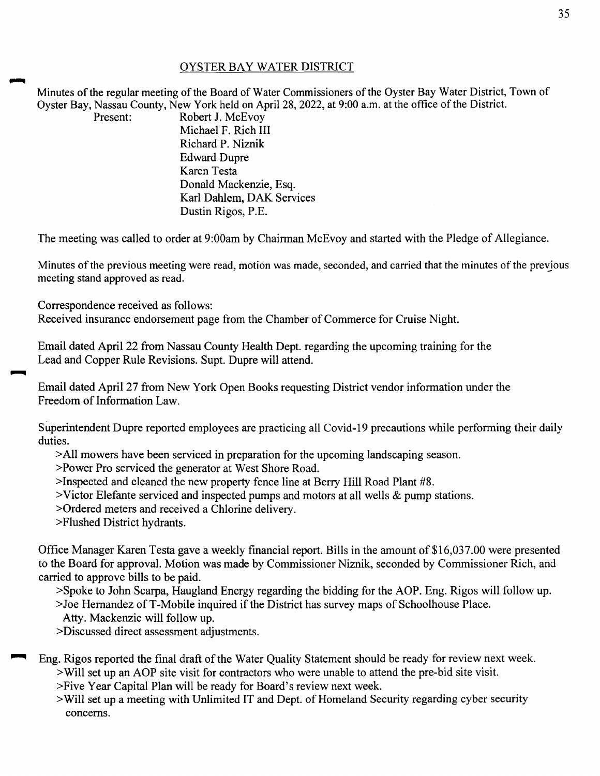## OYSTER BAY WATER DISTRICT

Minutes of the regular meeting of the Board of Water Commissioners of the Oyster Bay Water District, Town of Oyster Bay, Nassau County, New York held on April 28, 2022, at 9:00 a.m. at the office of the District.<br>Present: Robert J. McEvov

Robert J. McEvoy Michael F. Rich III Richard P. Niznik Edward Dupre Karen Testa Donald Mackenzie, Esq. Karl Dahlem, DAK Services Dustin Rigos, P.E.

The meeting was called to order at 9:00am by Chairman McEvoy and started with the Pledge of Allegiance.

Minutes of the previous meeting were read, motion was made, seconded, and carried that the minutes of the prevjous meeting stand approved as read.

Correspondence received as follows:

Received insurance endorsement page from the Chamber of Commerce for Cruise Night.

Email dated April 22 from Nassau County Health Dept. regarding the upcoming training for the Lead and Copper Rule Revisions. Supt. Dupre will attend.

Email dated April 27 from New York Open Books requesting District vendor information under the Freedom of Information Law.

Superintendent Dupre reported employees are practicing all Covid-19 precautions while performing their daily duties.

>All mowers have been serviced in preparation for the upcoming landscaping season.

>Power Pro serviced the generator at West Shore Road.

>Inspected and cleaned the new property fence line at Berry Hill Road Plant #8.

>Victor Elefante serviced and inspected pumps and motors at all wells & pump stations.

>Ordered meters and received a Chlorine delivery.

>Flushed District hydrants.

Office Manager Karen Testa gave a weekly financial report. Bills in the amount of \$16,037.00 were presented to the Board for approval. Motion was made by Commissioner Niznik, seconded by Commissioner Rich, and carried to approve bills to be paid.

>Spoke to John Scarpa, Haugland Energy regarding the bidding for the AOP. Eng. Rigos will follow up.

>Joe Hernandez ofT-Mobile inquired if the District has survey maps of Schoolhouse Place.

Atty. Mackenzie will follow up.

>Discussed direct assessment adjustments.

Eng. Rigos reported the final draft of the Water Quality Statement should be ready for review next week. >Will set up an AOP site visit for contractors who were unable to attend the pre-bid site visit.

>Five Year Capital Plan will be ready for Board's review next week.

>Will set up a meeting with Unlimited IT and Dept. of Homeland Security regarding cyber security concerns.